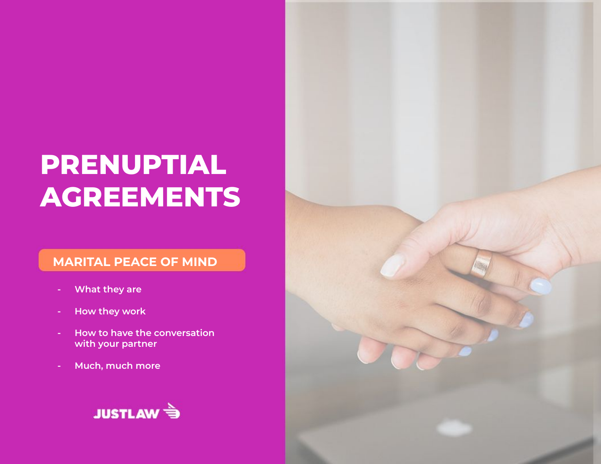# **PRENUPTIAL AGREEMENTS**

#### **MARITAL PEACE OF MIND**

- **- What they are**
- **- How they work**
- **- How to have the conversation with your partner**
- **- Much, much more**

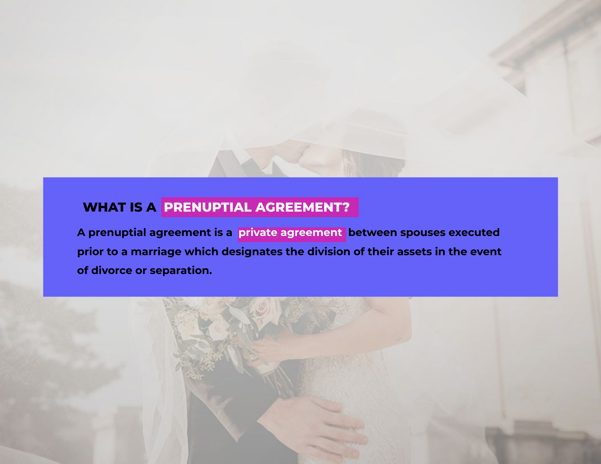#### **WHAT IS A PRENUPTIAL AGREEMENT?**

**A prenuptial agreement is a private agreement between spouses executed prior to a marriage which designates the division of their assets in the event of divorce or separation.**

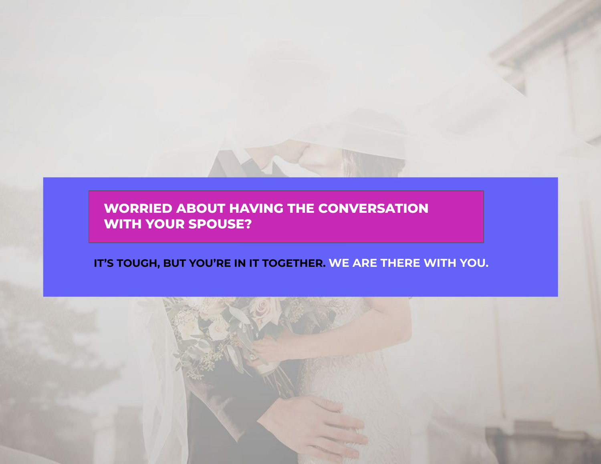**WORRIED ABOUT HAVING THE CONVERSATION WITH YOUR SPOUSE?** 

#### **IT'S TOUGH, BUT YOU'RE IN IT TOGETHER. WE ARE THERE WITH YOU.**

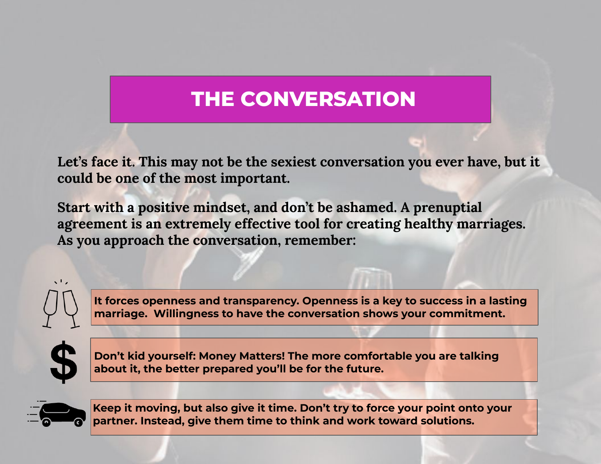# **THE CONVERSATION**

Let's face it. This may not be the sexiest conversation you ever have, but it **could be one of the most important.** 

**Start with a positive mindset, and don't be ashamed. A prenuptial agreement is an extremely effective tool for creating healthy marriages. As you approach the conversation, remember:**



**It forces openness and transparency. Openness is a key to success in a lasting marriage. Willingness to have the conversation shows your commitment.** 



**Don't kid yourself: Money Matters! The more comfortable you are talking about it, the better prepared you'll be for the future.**



**Keep it moving, but also give it time. Don't try to force your point onto your partner. Instead, give them time to think and work toward solutions.**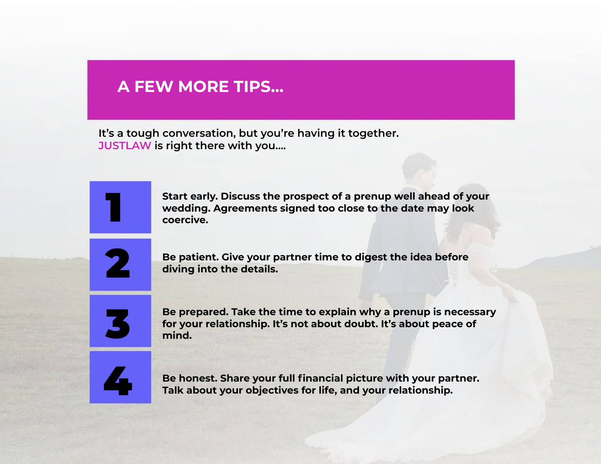#### **A FEW MORE TIPS…**

**It's a tough conversation, but you're having it together. JUSTLAW is right there with you….**



**Start early. Discuss the prospect of a prenup well ahead of your wedding. Agreements signed too close to the date may look coercive.**



**Be patient. Give your partner time to digest the idea before diving into the details.**



**Be prepared. Take the time to explain why a prenup is necessary for your relationship. It's not about doubt. It's about peace of mind.**



**Be honest. Share your full financial picture with your partner. Talk about your objectives for life, and your relationship.**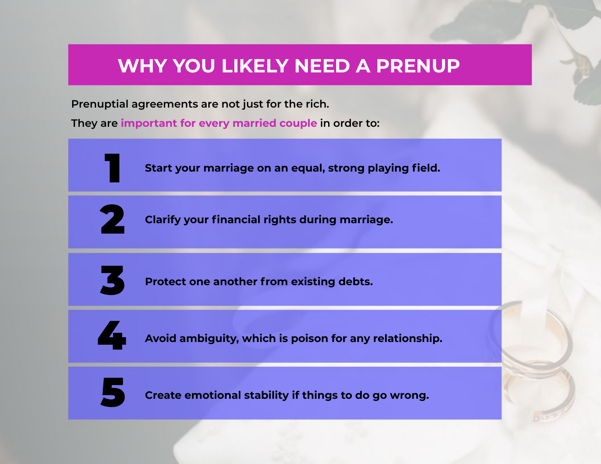## **WHY YOU LIKELY NEED A PRENUP**

**Prenuptial agreements are not just for the rich.** 

**They are important for every married couple in order to:**

1

**Start your marriage on an equal, strong playing field.**



**Clarify your financial rights during marriage.**



**Protect one another from existing debts.**



**Avoid ambiguity, which is poison for any relationship.**



**Create emotional stability if things to do go wrong.**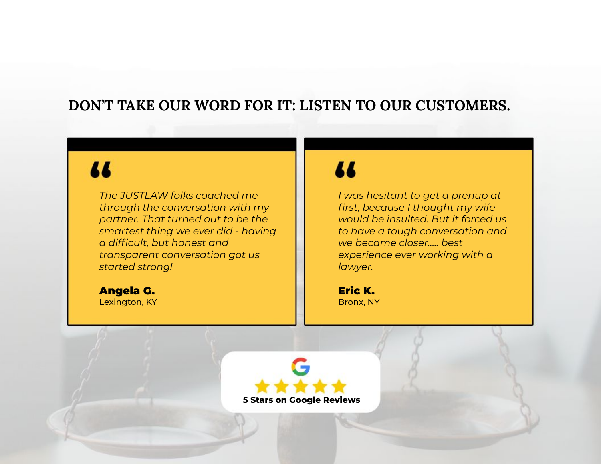#### **DON'T TAKE OUR WORD FOR IT: LISTEN TO OUR CUSTOMERS.**

# 71

*The JUSTLAW folks coached me through the conversation with my partner. That turned out to be the smartest thing we ever did - having a difficult, but honest and transparent conversation got us started strong!*

Angela G. Lexington, KY

## 11

*I was hesitant to get a prenup at first, because I thought my wife would be insulted. But it forced us to have a tough conversation and we became closer….. best experience ever working with a lawyer.*

Eric K. Bronx, NY

**5 Stars on Google Reviews**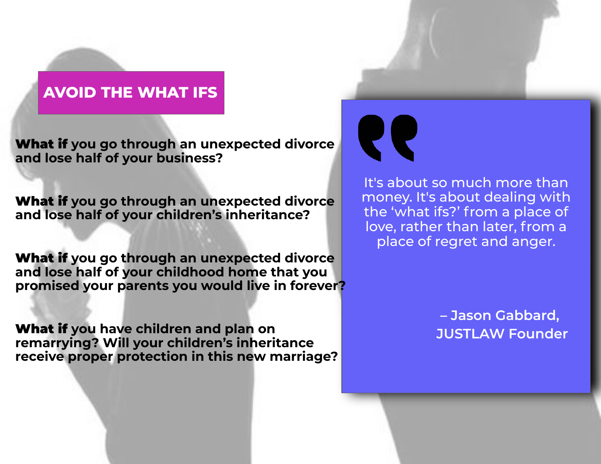#### **AVOID THE WHAT IFS**

What if **you go through an unexpected divorce and lose half of your business?**

What if **you go through an unexpected divorce and lose half of your children's inheritance?**

What if **you go through an unexpected divorce and lose half of your childhood home that you promised your parents you would live in forever?**

What if **you have children and plan on remarrying? Will your children's inheritance receive proper protection in this new marriage?**





It's about so much more than money. It's about dealing with the 'what ifs?' from a place of love, rather than later, from a place of regret and anger.

> **– Jason Gabbard, JUSTLAW Founder**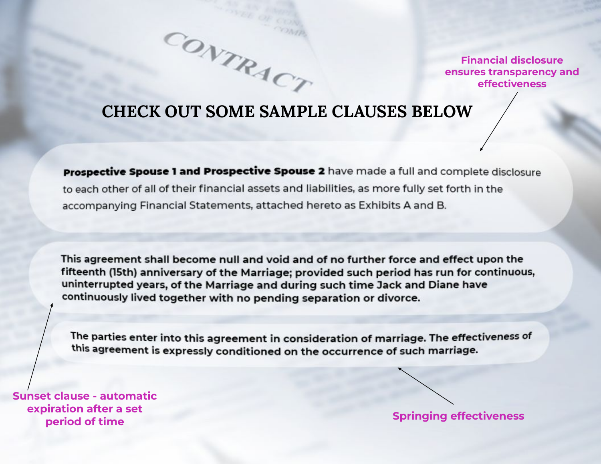

#### **CHECK OUT SOME SAMPLE CLAUSES BELOW**

CONTRACT

Prospective Spouse 1 and Prospective Spouse 2 have made a full and complete disclosure to each other of all of their financial assets and liabilities, as more fully set forth in the accompanying Financial Statements, attached hereto as Exhibits A and B.

This agreement shall become null and void and of no further force and effect upon the fifteenth (15th) anniversary of the Marriage; provided such period has run for continuous, uninterrupted years, of the Marriage and during such time Jack and Diane have continuously lived together with no pending separation or divorce.

The parties enter into this agreement in consideration of marriage. The effectiveness of this agreement is expressly conditioned on the occurrence of such marriage.

**Sunset clause - automatic expiration after a set period of time Springing effectiveness**